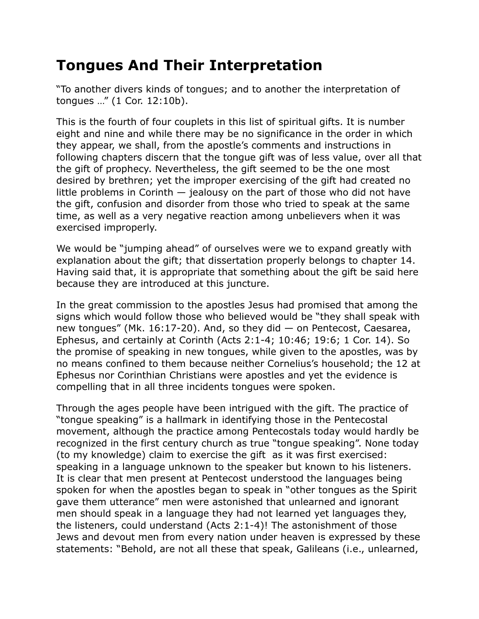## **Tongues And Their Interpretation**

"To another divers kinds of tongues; and to another the interpretation of tongues …" (1 Cor. 12:10b).

This is the fourth of four couplets in this list of spiritual gifts. It is number eight and nine and while there may be no significance in the order in which they appear, we shall, from the apostle's comments and instructions in following chapters discern that the tongue gift was of less value, over all that the gift of prophecy. Nevertheless, the gift seemed to be the one most desired by brethren; yet the improper exercising of the gift had created no little problems in Corinth — jealousy on the part of those who did not have the gift, confusion and disorder from those who tried to speak at the same time, as well as a very negative reaction among unbelievers when it was exercised improperly.

We would be "jumping ahead" of ourselves were we to expand greatly with explanation about the gift; that dissertation properly belongs to chapter 14. Having said that, it is appropriate that something about the gift be said here because they are introduced at this juncture.

In the great commission to the apostles Jesus had promised that among the signs which would follow those who believed would be "they shall speak with new tongues" (Mk. 16:17-20). And, so they did  $-$  on Pentecost, Caesarea, Ephesus, and certainly at Corinth (Acts 2:1-4; 10:46; 19:6; 1 Cor. 14). So the promise of speaking in new tongues, while given to the apostles, was by no means confined to them because neither Cornelius's household; the 12 at Ephesus nor Corinthian Christians were apostles and yet the evidence is compelling that in all three incidents tongues were spoken.

Through the ages people have been intrigued with the gift. The practice of "tongue speaking" is a hallmark in identifying those in the Pentecostal movement, although the practice among Pentecostals today would hardly be recognized in the first century church as true "tongue speaking". None today (to my knowledge) claim to exercise the gift as it was first exercised: speaking in a language unknown to the speaker but known to his listeners. It is clear that men present at Pentecost understood the languages being spoken for when the apostles began to speak in "other tongues as the Spirit gave them utterance" men were astonished that unlearned and ignorant men should speak in a language they had not learned yet languages they, the listeners, could understand (Acts 2:1-4)! The astonishment of those Jews and devout men from every nation under heaven is expressed by these statements: "Behold, are not all these that speak, Galileans (i.e., unlearned,